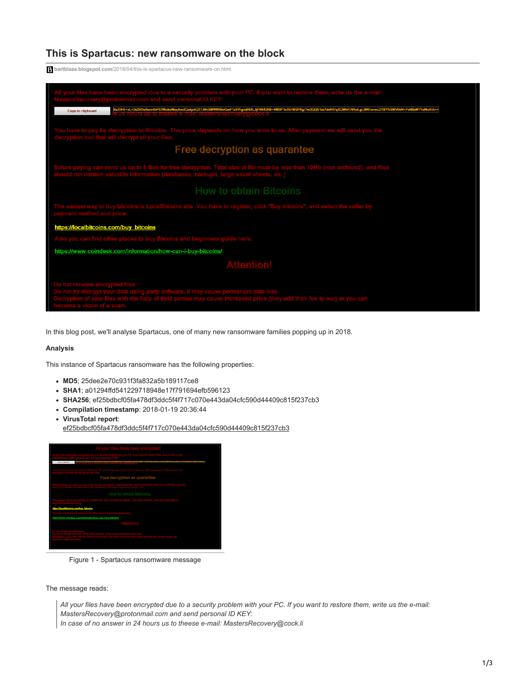## **This is Spartacus: new ransomware on the block**

**bartblaze.blogspot.com**[/2018/04/this-is-spartacus-new-ransomware-on.html](https://bartblaze.blogspot.com/2018/04/this-is-spartacus-new-ransomware-on.html)



In this blog post, we'll analyse Spartacus, one of many new ransomware families popping up in 2018.

## **Analysis**

This instance of Spartacus ransomware has the following properties:

- **MD5**; 25dee2e70c931f3fa832a5b189117ce8
- **SHA1**; a01294ffd541229718948e17f791694efb596123
- **SHA256**; ef25bdbcf05fa478df3ddc5f4f717c070e443da04cfc590d44409c815f237cb3
- **Compilation timestamp**: 2018-01-19 20:36:44
- **VirusTotal report**:

[ef25bdbcf05fa478df3ddc5f4f717c070e443da04cfc590d44409c815f237cb3](https://www.virustotal.com/en/file/ef25bdbcf05fa478df3ddc5f4f717c070e443da04cfc590d44409c815f237cb3/analysis/)



Figure 1 - Spartacus ransomware message

The message reads:

*All your files have been encrypted due to a security problem with your PC. If you want to restore them, write us the e-mail: MastersRecovery@protonmail.com and send personal ID KEY: In case of no answer in 24 hours us to theese e-mail: MastersRecovery@cock.li*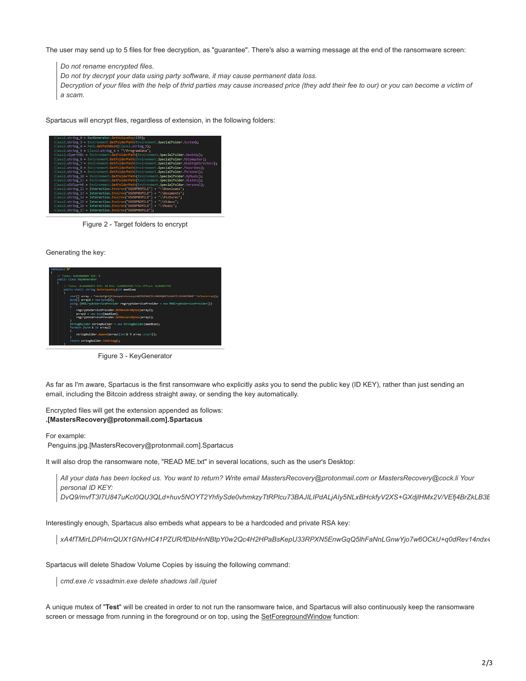The user may send up to 5 files for free decryption, as "guarantee". There's also a warning message at the end of the ransomware screen:

*Do not rename encrypted files.*

*Do not try decrypt your data using party software, it may cause permanent data loss.*

*Decryption of your files with the help of thrid parties may cause increased price (they add their fee to our) or you can become a victim of a scam.*

Spartacus will encrypt files, regardless of extension, in the following folders:

| Class2.string 0 = KeyGenerator.GetUniqueKey(133);                                        |
|------------------------------------------------------------------------------------------|
|                                                                                          |
| Class2.string 3 = Environment.GetFolderPath(Environment.SpecialFolder.System);           |
| Class2.string 4 - Path.GetPathRoot(Class2.string 3):                                     |
| Class2.string 5 - Class2.string 4 + "\\ProgramData";                                     |
| Class2.vlymrthDc = Environment.GetFolderPath(Environment.SpecialFolder.Desktop);         |
| Class2.string 6 - Environment.GetFolderPath(Environment.SpecialFolder.NyComputer);       |
| Class2.string 7 = Environment.GetFolderPath(Environment.SpecialFolder.DesktopDirectory); |
| Class2.string 8 = Environment.GetFolderPath(Environment.SpecialFolder.Favorites);        |
| Class2.string 9 = Environment.GetFolderPath(Environment.SpecialFolder.Personal);         |
| Class2.string 10 = Environment.GetFolderPath(Environment.SpecialFolder.MyMusic);         |
| Class2.string 11 - Environment.GetFolderPath(Environment.SpecialFolder.History);         |
| Class2.olVluprHE = Environment.GetFolderPath(Environment.SpecialFolder.Personal);        |
| Class2.string 12 - Interaction.Environ("USERPROFILE") + "\\Downloads";                   |
| Class2.string 13 = Interaction Environ("USERPROFILE") + "\\Documents";                   |
| Class2.string 14 = Interaction.Environ("USERPROFILE") + "\\Pictures";                    |
| Class2.string_15 - Interaction.Environ("USERPROFILE") + "\\Videos";                      |
| Class2.string 16 = Interaction.Environ("USERPROFILE") + "\\Music";                       |
| Class2.string 17 = Interaction.Environ("USERPROFILE");                                   |

Figure 2 - Target folders to encrypt

Generating the key:



Figure 3 - KeyGenerator

As far as I'm aware, Spartacus is the first ransomware who explicitly *asks* you to send the public key (ID KEY), rather than just sending an email, including the Bitcoin address straight away, or sending the key automatically.

Encrypted files will get the extension appended as follows: **.[MastersRecovery@protonmail.com].Spartacus** 

For example:

Penguins.jpg.[MastersRecovery@protonmail.com].Spartacus

It will also drop the ransomware note, "READ ME.txt" in several locations, such as the user's Desktop:

*All your data has been locked us. You want to return? Write email MastersRecovery@protonmail.com or MastersRecovery@cock.li Your personal ID KEY: DvQ9/mvfT3I7U847uKcI0QU3QLd+huv5NOYT2YhfiySde0vhmkzyTtRPlcu73BAJILIPdALjAIy5NLxBHckfyV2XS+GXdjlHMx2V/VEfj4BrZkLB3B*

Interestingly enough, Spartacus also embeds what appears to be a hardcoded and private RSA key:

*xA4fTMirLDPi4rnQUX1GNvHC41PZUR/fDIbHnNBtpY0w2Qc4H2HPaBsKepU33RPXN5EnwGqQ5lhFaNnLGnwYjo7w6OCkU+q0dRev14ndx4*

Spartacus will delete Shadow Volume Copies by issuing the following command:

*cmd.exe /c vssadmin.exe delete shadows /all /quiet*

A unique mutex of "**Test**" will be created in order to not run the ransomware twice, and Spartacus will also continuously keep the ransomware screen or message from running in the foreground or on top, using the [SetForegroundWindow](http://setforegroundwindow/) function: